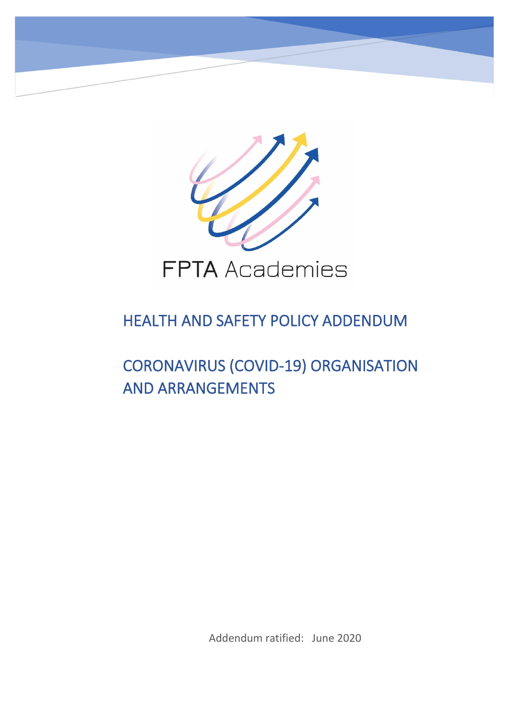

# HEALTH AND SAFETY POLICY ADDENDUM

# CORONAVIRUS (COVID-19) ORGANISATION AND ARRANGEMENTS

Addendum ratified: June 2020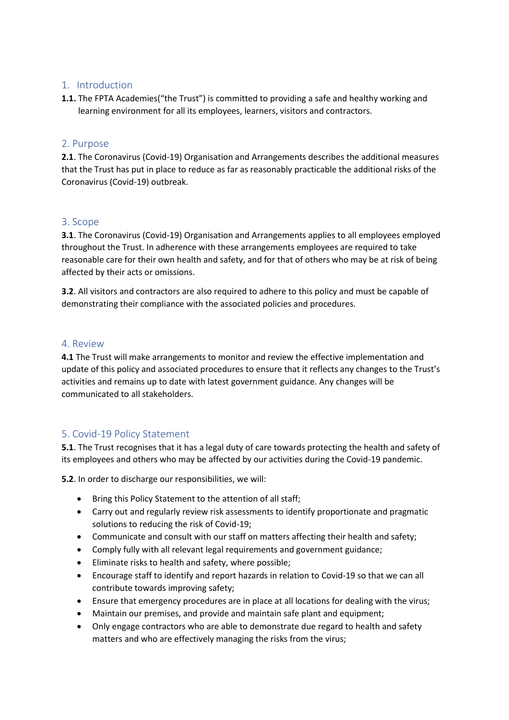#### 1. Introduction

**1.1.** The FPTA Academies("the Trust") is committed to providing a safe and healthy working and learning environment for all its employees, learners, visitors and contractors.

#### 2. Purpose

**2.1**. The Coronavirus (Covid-19) Organisation and Arrangements describes the additional measures that the Trust has put in place to reduce as far as reasonably practicable the additional risks of the Coronavirus (Covid-19) outbreak.

#### 3. Scope

**3.1**. The Coronavirus (Covid-19) Organisation and Arrangements applies to all employees employed throughout the Trust. In adherence with these arrangements employees are required to take reasonable care for their own health and safety, and for that of others who may be at risk of being affected by their acts or omissions.

**3.2**. All visitors and contractors are also required to adhere to this policy and must be capable of demonstrating their compliance with the associated policies and procedures.

#### 4. Review

**4.1** The Trust will make arrangements to monitor and review the effective implementation and update of this policy and associated procedures to ensure that it reflects any changes to the Trust's activities and remains up to date with latest government guidance. Any changes will be communicated to all stakeholders.

#### 5. Covid-19 Policy Statement

**5.1**. The Trust recognises that it has a legal duty of care towards protecting the health and safety of its employees and others who may be affected by our activities during the Covid-19 pandemic.

**5.2**. In order to discharge our responsibilities, we will:

- Bring this Policy Statement to the attention of all staff;
- Carry out and regularly review risk assessments to identify proportionate and pragmatic solutions to reducing the risk of Covid-19;
- Communicate and consult with our staff on matters affecting their health and safety;
- Comply fully with all relevant legal requirements and government guidance;
- Eliminate risks to health and safety, where possible;
- Encourage staff to identify and report hazards in relation to Covid-19 so that we can all contribute towards improving safety;
- Ensure that emergency procedures are in place at all locations for dealing with the virus;
- Maintain our premises, and provide and maintain safe plant and equipment;
- Only engage contractors who are able to demonstrate due regard to health and safety matters and who are effectively managing the risks from the virus;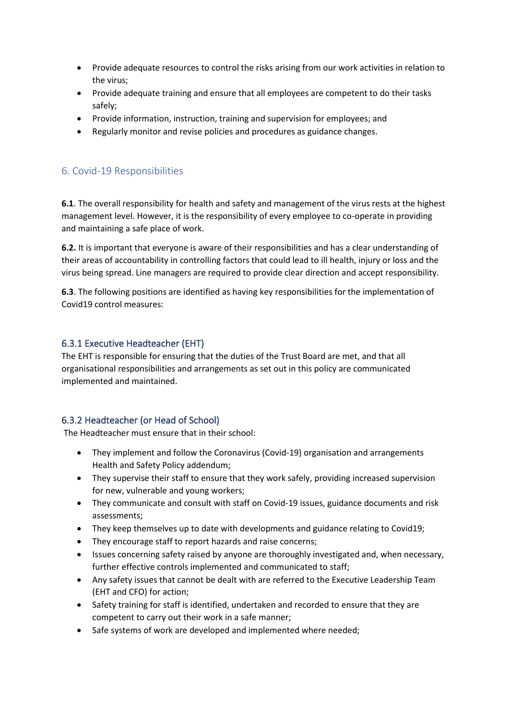- Provide adequate resources to control the risks arising from our work activities in relation to the virus;
- Provide adequate training and ensure that all employees are competent to do their tasks safely;
- Provide information, instruction, training and supervision for employees; and
- Regularly monitor and revise policies and procedures as guidance changes.

# 6. Covid-19 Responsibilities

**6.1**. The overall responsibility for health and safety and management of the virus rests at the highest management level. However, it is the responsibility of every employee to co-operate in providing and maintaining a safe place of work.

**6.2.** It is important that everyone is aware of their responsibilities and has a clear understanding of their areas of accountability in controlling factors that could lead to ill health, injury or loss and the virus being spread. Line managers are required to provide clear direction and accept responsibility.

**6.3**. The following positions are identified as having key responsibilities for the implementation of Covid19 control measures:

#### 6.3.1 Executive Headteacher (EHT)

The EHT is responsible for ensuring that the duties of the Trust Board are met, and that all organisational responsibilities and arrangements as set out in this policy are communicated implemented and maintained.

#### 6.3.2 Headteacher (or Head of School)

The Headteacher must ensure that in their school:

- They implement and follow the Coronavirus (Covid-19) organisation and arrangements Health and Safety Policy addendum;
- They supervise their staff to ensure that they work safely, providing increased supervision for new, vulnerable and young workers;
- They communicate and consult with staff on Covid-19 issues, guidance documents and risk assessments;
- They keep themselves up to date with developments and guidance relating to Covid19;
- They encourage staff to report hazards and raise concerns;
- Issues concerning safety raised by anyone are thoroughly investigated and, when necessary, further effective controls implemented and communicated to staff;
- Any safety issues that cannot be dealt with are referred to the Executive Leadership Team (EHT and CFO) for action;
- Safety training for staff is identified, undertaken and recorded to ensure that they are competent to carry out their work in a safe manner;
- Safe systems of work are developed and implemented where needed;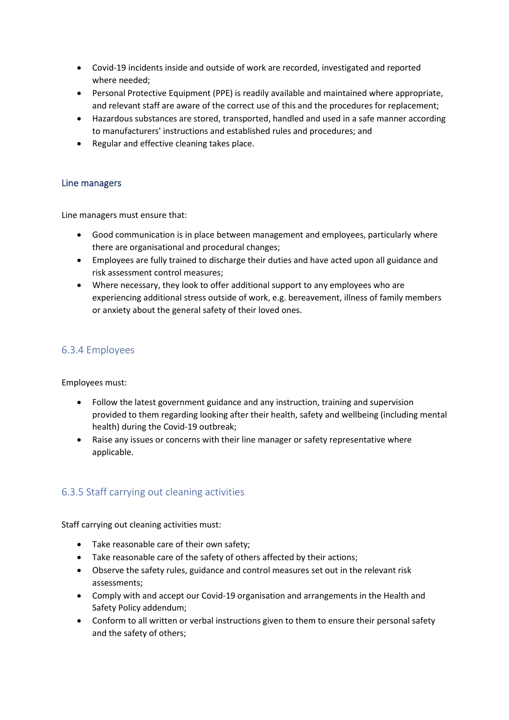- Covid-19 incidents inside and outside of work are recorded, investigated and reported where needed;
- Personal Protective Equipment (PPE) is readily available and maintained where appropriate, and relevant staff are aware of the correct use of this and the procedures for replacement;
- Hazardous substances are stored, transported, handled and used in a safe manner according to manufacturers' instructions and established rules and procedures; and
- Regular and effective cleaning takes place.

#### Line managers

Line managers must ensure that:

- Good communication is in place between management and employees, particularly where there are organisational and procedural changes;
- Employees are fully trained to discharge their duties and have acted upon all guidance and risk assessment control measures;
- Where necessary, they look to offer additional support to any employees who are experiencing additional stress outside of work, e.g. bereavement, illness of family members or anxiety about the general safety of their loved ones.

# 6.3.4 Employees

Employees must:

- Follow the latest government guidance and any instruction, training and supervision provided to them regarding looking after their health, safety and wellbeing (including mental health) during the Covid-19 outbreak;
- Raise any issues or concerns with their line manager or safety representative where applicable.

# 6.3.5 Staff carrying out cleaning activities

Staff carrying out cleaning activities must:

- Take reasonable care of their own safety;
- Take reasonable care of the safety of others affected by their actions;
- Observe the safety rules, guidance and control measures set out in the relevant risk assessments;
- Comply with and accept our Covid-19 organisation and arrangements in the Health and Safety Policy addendum;
- Conform to all written or verbal instructions given to them to ensure their personal safety and the safety of others;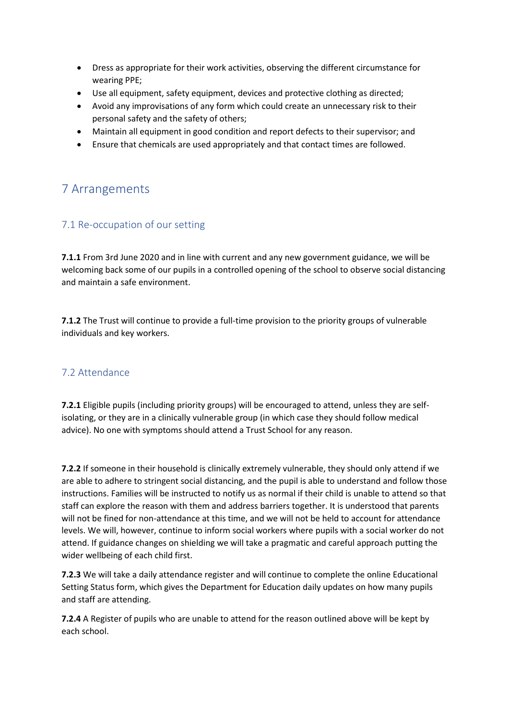- Dress as appropriate for their work activities, observing the different circumstance for wearing PPE;
- Use all equipment, safety equipment, devices and protective clothing as directed;
- Avoid any improvisations of any form which could create an unnecessary risk to their personal safety and the safety of others;
- Maintain all equipment in good condition and report defects to their supervisor; and
- Ensure that chemicals are used appropriately and that contact times are followed.

# 7 Arrangements

## 7.1 Re-occupation of our setting

**7.1.1** From 3rd June 2020 and in line with current and any new government guidance, we will be welcoming back some of our pupils in a controlled opening of the school to observe social distancing and maintain a safe environment.

**7.1.2** The Trust will continue to provide a full-time provision to the priority groups of vulnerable individuals and key workers.

#### 7.2 Attendance

**7.2.1** Eligible pupils (including priority groups) will be encouraged to attend, unless they are selfisolating, or they are in a clinically vulnerable group (in which case they should follow medical advice). No one with symptoms should attend a Trust School for any reason.

**7.2.2** If someone in their household is clinically extremely vulnerable, they should only attend if we are able to adhere to stringent social distancing, and the pupil is able to understand and follow those instructions. Families will be instructed to notify us as normal if their child is unable to attend so that staff can explore the reason with them and address barriers together. It is understood that parents will not be fined for non-attendance at this time, and we will not be held to account for attendance levels. We will, however, continue to inform social workers where pupils with a social worker do not attend. If guidance changes on shielding we will take a pragmatic and careful approach putting the wider wellbeing of each child first.

**7.2.3** We will take a daily attendance register and will continue to complete the online Educational Setting Status form, which gives the Department for Education daily updates on how many pupils and staff are attending.

**7.2.4** A Register of pupils who are unable to attend for the reason outlined above will be kept by each school.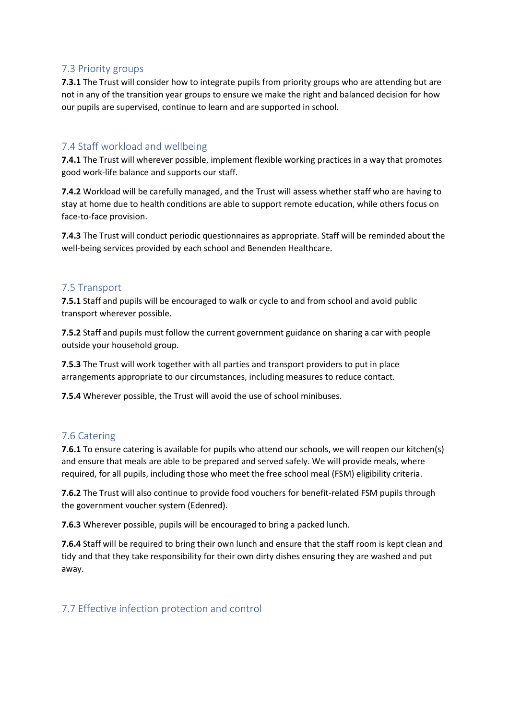#### 7.3 Priority groups

**7.3.1** The Trust will consider how to integrate pupils from priority groups who are attending but are not in any of the transition year groups to ensure we make the right and balanced decision for how our pupils are supervised, continue to learn and are supported in school.

#### 7.4 Staff workload and wellbeing

**7.4.1** The Trust will wherever possible, implement flexible working practices in a way that promotes good work-life balance and supports our staff.

**7.4.2** Workload will be carefully managed, and the Trust will assess whether staff who are having to stay at home due to health conditions are able to support remote education, while others focus on face-to-face provision.

**7.4.3** The Trust will conduct periodic questionnaires as appropriate. Staff will be reminded about the well-being services provided by each school and Benenden Healthcare.

#### 7.5 Transport

**7.5.1** Staff and pupils will be encouraged to walk or cycle to and from school and avoid public transport wherever possible.

**7.5.2** Staff and pupils must follow the current government guidance on sharing a car with people outside your household group.

**7.5.3** The Trust will work together with all parties and transport providers to put in place arrangements appropriate to our circumstances, including measures to reduce contact.

**7.5.4** Wherever possible, the Trust will avoid the use of school minibuses.

#### 7.6 Catering

**7.6.1** To ensure catering is available for pupils who attend our schools, we will reopen our kitchen(s) and ensure that meals are able to be prepared and served safely. We will provide meals, where required, for all pupils, including those who meet the free school meal (FSM) eligibility criteria.

**7.6.2** The Trust will also continue to provide food vouchers for benefit-related FSM pupils through the government voucher system (Edenred).

**7.6.3** Wherever possible, pupils will be encouraged to bring a packed lunch.

**7.6.4** Staff will be required to bring their own lunch and ensure that the staff room is kept clean and tidy and that they take responsibility for their own dirty dishes ensuring they are washed and put away.

#### 7.7 Effective infection protection and control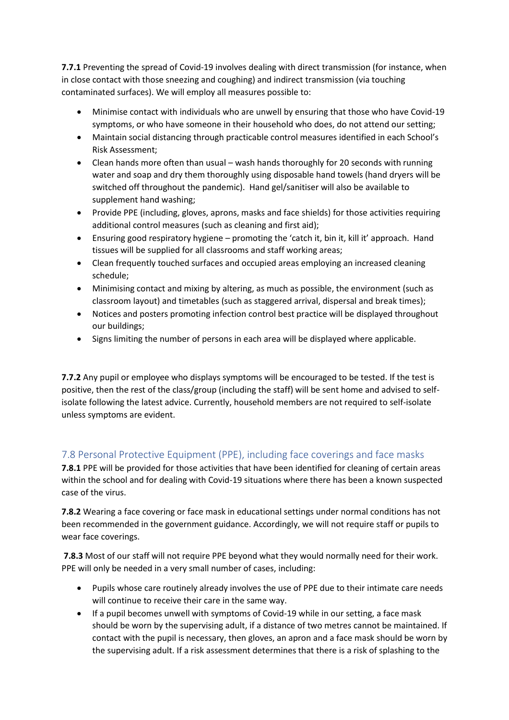**7.7.1** Preventing the spread of Covid-19 involves dealing with direct transmission (for instance, when in close contact with those sneezing and coughing) and indirect transmission (via touching contaminated surfaces). We will employ all measures possible to:

- Minimise contact with individuals who are unwell by ensuring that those who have Covid-19 symptoms, or who have someone in their household who does, do not attend our setting;
- Maintain social distancing through practicable control measures identified in each School's Risk Assessment;
- Clean hands more often than usual wash hands thoroughly for 20 seconds with running water and soap and dry them thoroughly using disposable hand towels (hand dryers will be switched off throughout the pandemic). Hand gel/sanitiser will also be available to supplement hand washing;
- Provide PPE (including, gloves, aprons, masks and face shields) for those activities requiring additional control measures (such as cleaning and first aid);
- Ensuring good respiratory hygiene promoting the 'catch it, bin it, kill it' approach. Hand tissues will be supplied for all classrooms and staff working areas;
- Clean frequently touched surfaces and occupied areas employing an increased cleaning schedule;
- Minimising contact and mixing by altering, as much as possible, the environment (such as classroom layout) and timetables (such as staggered arrival, dispersal and break times);
- Notices and posters promoting infection control best practice will be displayed throughout our buildings;
- Signs limiting the number of persons in each area will be displayed where applicable.

**7.7.2** Any pupil or employee who displays symptoms will be encouraged to be tested. If the test is positive, then the rest of the class/group (including the staff) will be sent home and advised to selfisolate following the latest advice. Currently, household members are not required to self-isolate unless symptoms are evident.

# 7.8 Personal Protective Equipment (PPE), including face coverings and face masks

**7.8.1** PPE will be provided for those activities that have been identified for cleaning of certain areas within the school and for dealing with Covid-19 situations where there has been a known suspected case of the virus.

**7.8.2** Wearing a face covering or face mask in educational settings under normal conditions has not been recommended in the government guidance. Accordingly, we will not require staff or pupils to wear face coverings.

**7.8.3** Most of our staff will not require PPE beyond what they would normally need for their work. PPE will only be needed in a very small number of cases, including:

- Pupils whose care routinely already involves the use of PPE due to their intimate care needs will continue to receive their care in the same way.
- If a pupil becomes unwell with symptoms of Covid-19 while in our setting, a face mask should be worn by the supervising adult, if a distance of two metres cannot be maintained. If contact with the pupil is necessary, then gloves, an apron and a face mask should be worn by the supervising adult. If a risk assessment determines that there is a risk of splashing to the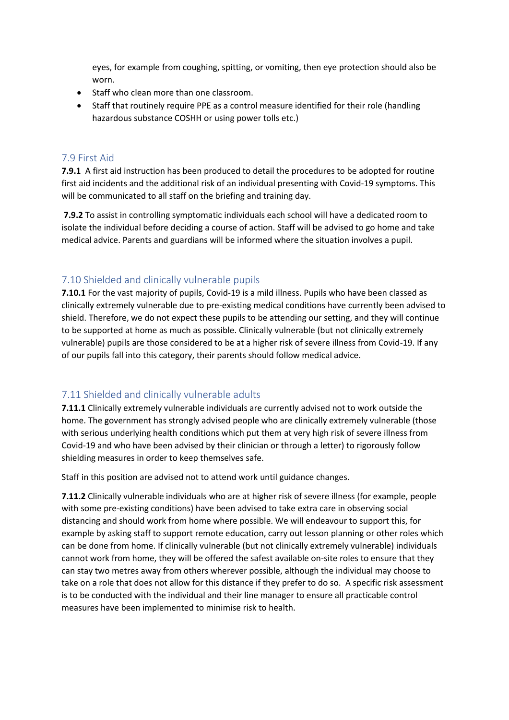eyes, for example from coughing, spitting, or vomiting, then eye protection should also be worn.

- Staff who clean more than one classroom.
- Staff that routinely require PPE as a control measure identified for their role (handling hazardous substance COSHH or using power tolls etc.)

#### 7.9 First Aid

**7.9.1** A first aid instruction has been produced to detail the procedures to be adopted for routine first aid incidents and the additional risk of an individual presenting with Covid-19 symptoms. This will be communicated to all staff on the briefing and training day.

**7.9.2** To assist in controlling symptomatic individuals each school will have a dedicated room to isolate the individual before deciding a course of action. Staff will be advised to go home and take medical advice. Parents and guardians will be informed where the situation involves a pupil.

#### 7.10 Shielded and clinically vulnerable pupils

**7.10.1** For the vast majority of pupils, Covid-19 is a mild illness. Pupils who have been classed as clinically extremely vulnerable due to pre-existing medical conditions have currently been advised to shield. Therefore, we do not expect these pupils to be attending our setting, and they will continue to be supported at home as much as possible. Clinically vulnerable (but not clinically extremely vulnerable) pupils are those considered to be at a higher risk of severe illness from Covid-19. If any of our pupils fall into this category, their parents should follow medical advice.

#### 7.11 Shielded and clinically vulnerable adults

**7.11.1** Clinically extremely vulnerable individuals are currently advised not to work outside the home. The government has strongly advised people who are clinically extremely vulnerable (those with serious underlying health conditions which put them at very high risk of severe illness from Covid-19 and who have been advised by their clinician or through a letter) to rigorously follow shielding measures in order to keep themselves safe.

Staff in this position are advised not to attend work until guidance changes.

**7.11.2** Clinically vulnerable individuals who are at higher risk of severe illness (for example, people with some pre-existing conditions) have been advised to take extra care in observing social distancing and should work from home where possible. We will endeavour to support this, for example by asking staff to support remote education, carry out lesson planning or other roles which can be done from home. If clinically vulnerable (but not clinically extremely vulnerable) individuals cannot work from home, they will be offered the safest available on-site roles to ensure that they can stay two metres away from others wherever possible, although the individual may choose to take on a role that does not allow for this distance if they prefer to do so. A specific risk assessment is to be conducted with the individual and their line manager to ensure all practicable control measures have been implemented to minimise risk to health.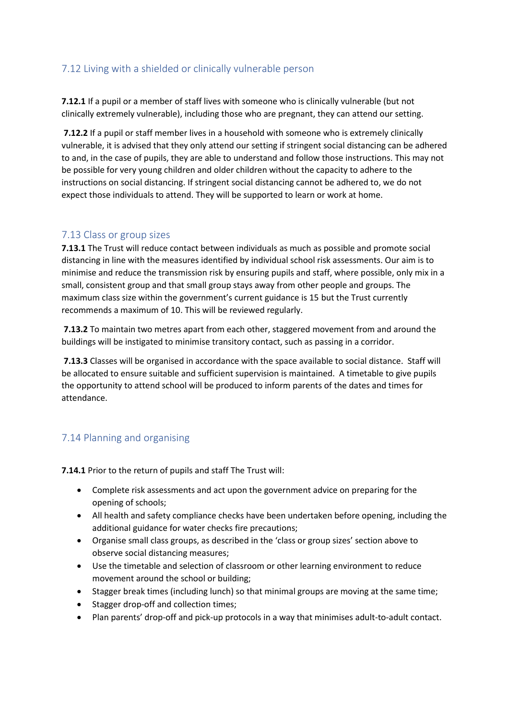## 7.12 Living with a shielded or clinically vulnerable person

**7.12.1** If a pupil or a member of staff lives with someone who is clinically vulnerable (but not clinically extremely vulnerable), including those who are pregnant, they can attend our setting.

**7.12.2** If a pupil or staff member lives in a household with someone who is extremely clinically vulnerable, it is advised that they only attend our setting if stringent social distancing can be adhered to and, in the case of pupils, they are able to understand and follow those instructions. This may not be possible for very young children and older children without the capacity to adhere to the instructions on social distancing. If stringent social distancing cannot be adhered to, we do not expect those individuals to attend. They will be supported to learn or work at home.

#### 7.13 Class or group sizes

**7.13.1** The Trust will reduce contact between individuals as much as possible and promote social distancing in line with the measures identified by individual school risk assessments. Our aim is to minimise and reduce the transmission risk by ensuring pupils and staff, where possible, only mix in a small, consistent group and that small group stays away from other people and groups. The maximum class size within the government's current guidance is 15 but the Trust currently recommends a maximum of 10. This will be reviewed regularly.

**7.13.2** To maintain two metres apart from each other, staggered movement from and around the buildings will be instigated to minimise transitory contact, such as passing in a corridor.

**7.13.3** Classes will be organised in accordance with the space available to social distance. Staff will be allocated to ensure suitable and sufficient supervision is maintained. A timetable to give pupils the opportunity to attend school will be produced to inform parents of the dates and times for attendance.

# 7.14 Planning and organising

**7.14.1** Prior to the return of pupils and staff The Trust will:

- Complete risk assessments and act upon the government advice on preparing for the opening of schools;
- All health and safety compliance checks have been undertaken before opening, including the additional guidance for water checks fire precautions;
- Organise small class groups, as described in the 'class or group sizes' section above to observe social distancing measures;
- Use the timetable and selection of classroom or other learning environment to reduce movement around the school or building;
- Stagger break times (including lunch) so that minimal groups are moving at the same time;
- Stagger drop-off and collection times;
- Plan parents' drop-off and pick-up protocols in a way that minimises adult-to-adult contact.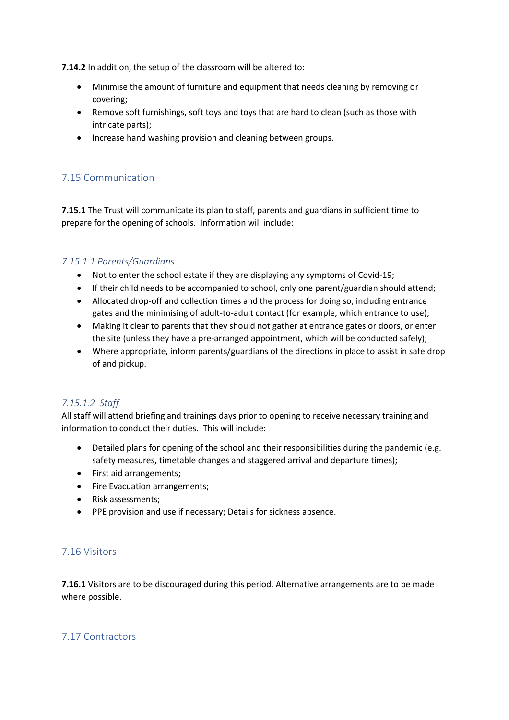**7.14.2** In addition, the setup of the classroom will be altered to:

- Minimise the amount of furniture and equipment that needs cleaning by removing or covering;
- Remove soft furnishings, soft toys and toys that are hard to clean (such as those with intricate parts);
- Increase hand washing provision and cleaning between groups.

# 7.15 Communication

**7.15.1** The Trust will communicate its plan to staff, parents and guardians in sufficient time to prepare for the opening of schools. Information will include:

#### *7.15.1.1 Parents/Guardians*

- Not to enter the school estate if they are displaying any symptoms of Covid-19;
- If their child needs to be accompanied to school, only one parent/guardian should attend;
- Allocated drop-off and collection times and the process for doing so, including entrance gates and the minimising of adult-to-adult contact (for example, which entrance to use);
- Making it clear to parents that they should not gather at entrance gates or doors, or enter the site (unless they have a pre-arranged appointment, which will be conducted safely);
- Where appropriate, inform parents/guardians of the directions in place to assist in safe drop of and pickup.

#### *7.15.1.2 Staff*

All staff will attend briefing and trainings days prior to opening to receive necessary training and information to conduct their duties. This will include:

- Detailed plans for opening of the school and their responsibilities during the pandemic (e.g. safety measures, timetable changes and staggered arrival and departure times);
- First aid arrangements;
- Fire Evacuation arrangements;
- Risk assessments;
- PPE provision and use if necessary; Details for sickness absence.

#### 7.16 Visitors

**7.16.1** Visitors are to be discouraged during this period. Alternative arrangements are to be made where possible.

#### 7.17 Contractors